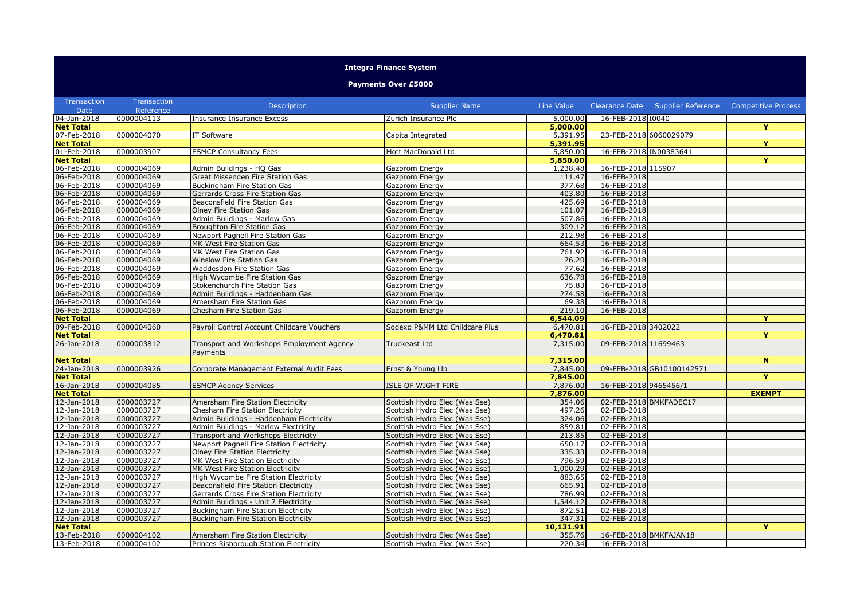## **Integra Finance System**

**Payments Over £5000**

| Transaction                | Transaction              | Description                                | <b>Supplier Name</b>           | Line Value         |                            | Clearance Date  Supplier Reference  Competitive Process |               |
|----------------------------|--------------------------|--------------------------------------------|--------------------------------|--------------------|----------------------------|---------------------------------------------------------|---------------|
| Date                       | Reference                |                                            |                                |                    |                            |                                                         |               |
| 04-Jan-2018                | 0000004113               | Insurance Insurance Excess                 | Zurich Insurance Plc           | 5,000.00           | 16-FEB-2018 10040          |                                                         |               |
| <b>Net Total</b>           |                          |                                            |                                | 5,000.00           |                            |                                                         | Y             |
| 07-Feb-2018                | 0000004070               | IT Software                                | Capita Integrated              | 5,391.95           |                            | 23-FEB-2018 6060029079                                  |               |
| <b>Net Total</b>           |                          |                                            |                                | 5,391.95           |                            |                                                         | Y             |
| 01-Feb-2018                | 0000003907               | <b>ESMCP Consultancy Fees</b>              | Mott MacDonald Ltd             | 5,850.00           | 16-FEB-2018 IN00383641     |                                                         |               |
| <b>Net Total</b>           |                          |                                            |                                | 5,850.00           |                            |                                                         | Y.            |
| 06-Feb-2018                | 0000004069               | Admin Buildings - HQ Gas                   | Gazprom Energy                 | 1,238.48           | 16-FEB-2018 115907         |                                                         |               |
| 06-Feb-2018                | 0000004069               | Great Missenden Fire Station Gas           | Gazprom Energy                 | 111.47             | 16-FEB-2018                |                                                         |               |
| $06 - Feb - 2018$          | 0000004069               | <b>Buckingham Fire Station Gas</b>         | Gazprom Energy                 | 377.68             | 16-FEB-2018                |                                                         |               |
| 06-Feb-2018                | 0000004069               | Gerrards Cross Fire Station Gas            | Gazprom Energy                 | 403.80             | 16-FEB-2018                |                                                         |               |
| 06-Feb-2018                | 0000004069               | Beaconsfield Fire Station Gas              | Gazprom Energy                 | 425.69             | 16-FEB-2018                |                                                         |               |
| 06-Feb-2018                | 0000004069               | Olney Fire Station Gas                     | Gazprom Energy                 | 101.07             | 16-FEB-2018                |                                                         |               |
| 06-Feb-2018                | 0000004069               | Admin Buildings - Marlow Gas               | Gazprom Energy                 | 507.86             | 16-FEB-2018                |                                                         |               |
| 06-Feb-2018                | 0000004069               | Broughton Fire Station Gas                 | Gazprom Energy                 | 309.12             | 16-FEB-2018                |                                                         |               |
| 06-Feb-2018                | 0000004069               | Newport Pagnell Fire Station Gas           | Gazprom Energy                 | 212.98             | 16-FEB-2018                |                                                         |               |
| 06-Feb-2018                | 0000004069               | MK West Fire Station Gas                   | Gazprom Energy                 | 664.53             | 16-FEB-2018                |                                                         |               |
| 06-Feb-2018                | 0000004069               | MK West Fire Station Gas                   | Gazprom Energy                 | 761.92             | 16-FEB-2018                |                                                         |               |
| 06-Feb-2018                | 0000004069               | Winslow Fire Station Gas                   | <b>Gazprom Energy</b>          | 76.20              | 16-FEB-2018                |                                                         |               |
| 06-Feb-2018                | 0000004069               | Waddesdon Fire Station Gas                 | Gazprom Energy                 | 77.62              | 16-FEB-2018                |                                                         |               |
| 06-Feb-2018                | 0000004069               | High Wycombe Fire Station Gas              | Gazprom Energy                 | 636.78             | 16-FEB-2018                |                                                         |               |
| 06-Feb-2018                | 0000004069               | Stokenchurch Fire Station Gas              | Gazprom Energy                 | 75.83              | 16-FEB-2018                |                                                         |               |
| 06-Feb-2018                | 0000004069               | Admin Buildings - Haddenham Gas            | Gazprom Energy                 | 274.58             | 16-FEB-2018                |                                                         |               |
| 06-Feb-2018                | 0000004069               | Amersham Fire Station Gas                  | Gazprom Energy                 | 69.38              | 16-FEB-2018                |                                                         |               |
| 06-Feb-2018                | 0000004069               | Chesham Fire Station Gas                   | Gazprom Energy                 | 219.10             | 16-FEB-2018                |                                                         |               |
| <b>Net Total</b>           |                          |                                            |                                | 6,544.09           |                            |                                                         | Y             |
| 09-Feb-2018                | 0000004060               | Payroll Control Account Childcare Vouchers | Sodexo P&MM Ltd Childcare Plus | 6,470.81           | 16-FEB-2018 3402022        |                                                         |               |
| <b>Net Total</b>           |                          |                                            |                                | 6,470.81           |                            |                                                         | Y             |
| 26-Jan-2018                | 0000003812               | Transport and Workshops Employment Agency  | Truckeast Ltd                  | 7,315.00           | 09-FEB-2018 11699463       |                                                         |               |
|                            |                          |                                            |                                |                    |                            |                                                         |               |
| <b>Net Total</b>           |                          | Payments                                   |                                | 7,315.00           |                            |                                                         |               |
| 24-Jan-2018                | 0000003926               | Corporate Management External Audit Fees   | Ernst & Young Llp              | 7,845.00           |                            | 09-FEB-2018 GB10100142571                               | N.            |
| <b>Net Total</b>           |                          |                                            |                                | 7,845.00           |                            |                                                         | Y             |
| 16-Jan-2018                | 0000004085               | <b>ESMCP Agency Services</b>               | <b>ISLE OF WIGHT FIRE</b>      | 7,876.00           | 16-FEB-2018 9465456/1      |                                                         |               |
|                            |                          |                                            |                                |                    |                            |                                                         |               |
| <b>Net Total</b>           | 0000003727               |                                            |                                | 7,876.00<br>354.06 |                            | 02-FEB-2018 BMKFADEC17                                  | <b>EXEMPT</b> |
| 12-Jan-2018                |                          | Amersham Fire Station Electricity          | Scottish Hydro Elec (Was Sse)  |                    |                            |                                                         |               |
| 12-Jan-2018                | 0000003727<br>0000003727 | Chesham Fire Station Electricity           | Scottish Hydro Elec (Was Sse)  | 497.26<br>324.06   | 02-FEB-2018<br>02-FEB-2018 |                                                         |               |
| 12-Jan-2018                |                          | Admin Buildings - Haddenham Electricity    | Scottish Hydro Elec (Was Sse)  |                    |                            |                                                         |               |
| 12-Jan-2018                | 0000003727               | Admin Buildings - Marlow Electricity       | Scottish Hydro Elec (Was Sse)  | 859.81             | 02-FEB-2018                |                                                         |               |
| 12-Jan-2018                | 0000003727               | Transport and Workshops Electricity        | Scottish Hydro Elec (Was Sse)  | 213.85             | 02-FEB-2018                |                                                         |               |
| 12-Jan-2018<br>12-Jan-2018 | 0000003727<br>0000003727 | Newport Pagnell Fire Station Electricity   | Scottish Hydro Elec (Was Sse)  | 650.17<br>335.33   | 02-FEB-2018<br>02-FEB-2018 |                                                         |               |
|                            |                          | <b>Olney Fire Station Electricity</b>      | Scottish Hydro Elec (Was Sse)  |                    |                            |                                                         |               |
| $12 - Jan - 2018$          | 0000003727               | MK West Fire Station Electricity           | Scottish Hydro Elec (Was Sse)  | 796.59             | 02-FEB-2018                |                                                         |               |
| 12-Jan-2018                | 0000003727               | MK West Fire Station Electricity           | Scottish Hydro Elec (Was Sse)  | 1,000.29           | 02-FEB-2018                |                                                         |               |
| 12-Jan-2018                | 0000003727               | High Wycombe Fire Station Electricity      | Scottish Hydro Elec (Was Sse)  | 883.65             | 02-FEB-2018                |                                                         |               |
| $12$ -Jan-2018             | 0000003727               | Beaconsfield Fire Station Electricity      | Scottish Hydro Elec (Was Sse)  | 665.91             | 02-FEB-2018                |                                                         |               |
| 12-Jan-2018                | 0000003727               | Gerrards Cross Fire Station Electricity    | Scottish Hydro Elec (Was Sse)  | 786.99             | 02-FEB-2018                |                                                         |               |
| 12-Jan-2018                | 0000003727               | Admin Buildings - Unit 7 Electricity       | Scottish Hydro Elec (Was Sse)  | 1,544.12           | 02-FEB-2018                |                                                         |               |
| 12-Jan-2018                | 0000003727               | Buckingham Fire Station Electricity        | Scottish Hydro Elec (Was Sse)  | 872.51             | 02-FEB-2018                |                                                         |               |
| 12-Jan-2018                | 0000003727               | <b>Buckingham Fire Station Electricity</b> | Scottish Hydro Elec (Was Sse)  | 347.31             | 02-FEB-2018                |                                                         |               |
| <b>Net Total</b>           |                          |                                            |                                | 10,131.91          |                            |                                                         | Ÿ             |
| 13-Feb-2018                | 0000004102               | Amersham Fire Station Electricity          | Scottish Hydro Elec (Was Sse)  | 355.76             | 16-FEB-2018 BMKFAJAN18     |                                                         |               |
| 13-Feb-2018                | 0000004102               | Princes Risborough Station Electricity     | Scottish Hydro Elec (Was Sse)  | 220.34             | 16-FEB-2018                |                                                         |               |